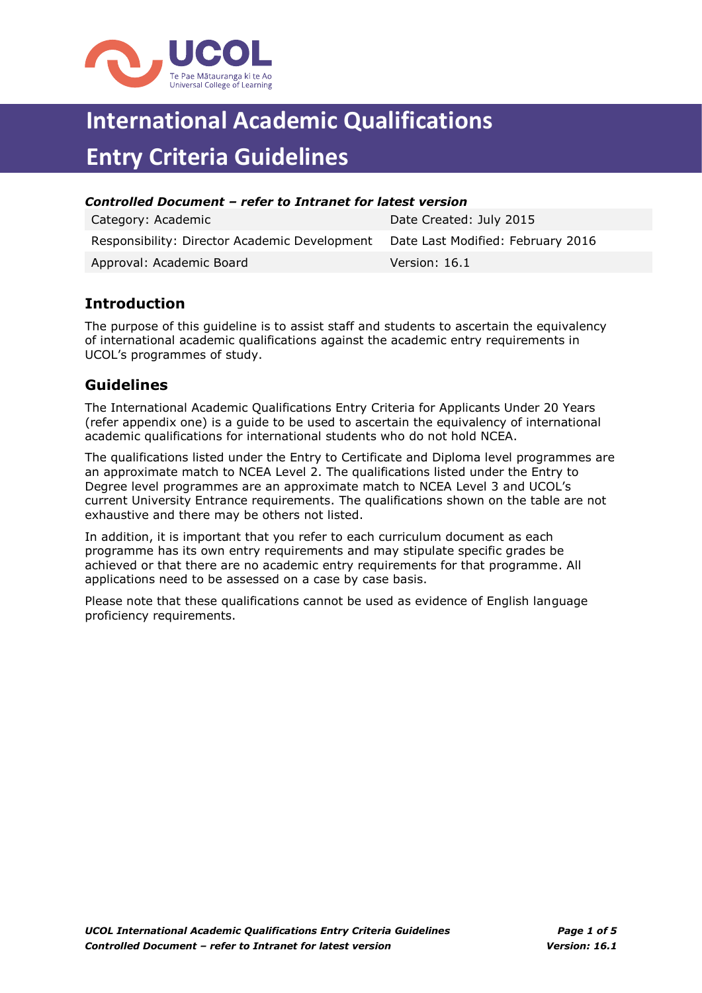

## **International Academic Qualifications Entry Criteria Guidelines**

| Controlled Document – refer to Intranet for latest version                      |                         |  |  |
|---------------------------------------------------------------------------------|-------------------------|--|--|
| Category: Academic                                                              | Date Created: July 2015 |  |  |
| Responsibility: Director Academic Development Date Last Modified: February 2016 |                         |  |  |

Approval: Academic Board Version: 16.1

## **Introduction**

The purpose of this guideline is to assist staff and students to ascertain the equivalency of international academic qualifications against the academic entry requirements in UCOL's programmes of study.

## **Guidelines**

The International Academic Qualifications Entry Criteria for Applicants Under 20 Years (refer appendix one) is a guide to be used to ascertain the equivalency of international academic qualifications for international students who do not hold NCEA.

The qualifications listed under the Entry to Certificate and Diploma level programmes are an approximate match to NCEA Level 2. The qualifications listed under the Entry to Degree level programmes are an approximate match to NCEA Level 3 and UCOL's current University Entrance requirements. The qualifications shown on the table are not exhaustive and there may be others not listed.

In addition, it is important that you refer to each curriculum document as each programme has its own entry requirements and may stipulate specific grades be achieved or that there are no academic entry requirements for that programme. All applications need to be assessed on a case by case basis.

Please note that these qualifications cannot be used as evidence of English language proficiency requirements.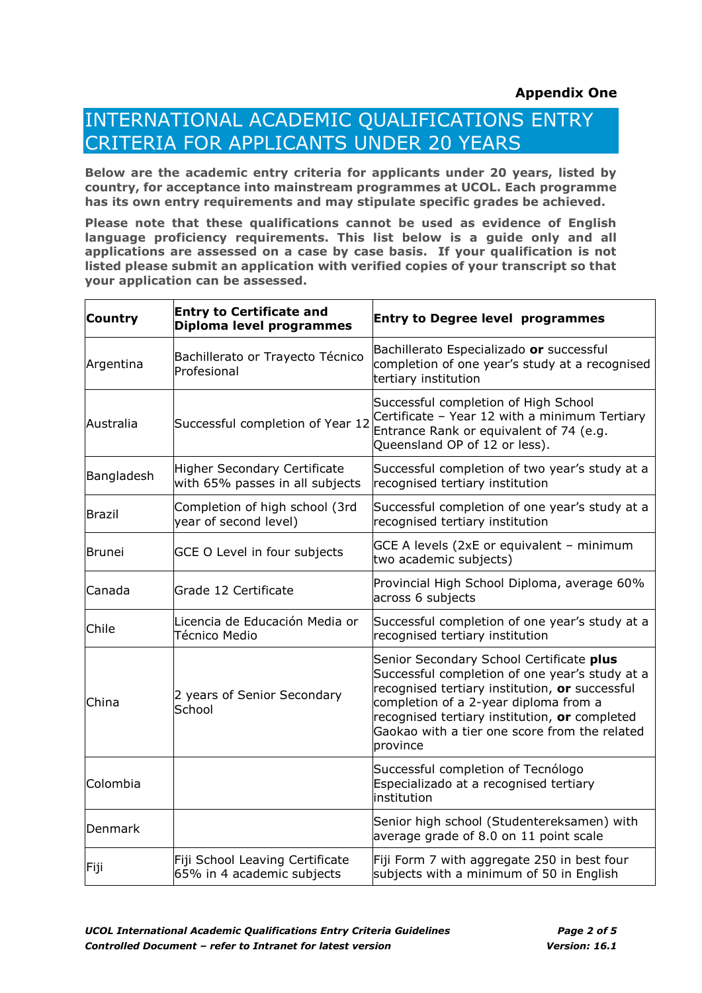## INTERNATIONAL ACADEMIC QUALIFICATIONS ENTRY CRITERIA FOR APPLICANTS UNDER 20 YEARS

**Below are the academic entry criteria for applicants under 20 years, listed by country, for acceptance into mainstream programmes at UCOL. Each programme has its own entry requirements and may stipulate specific grades be achieved.**

**Please note that these qualifications cannot be used as evidence of English language proficiency requirements. This list below is a guide only and all applications are assessed on a case by case basis. If your qualification is not listed please submit an application with verified copies of your transcript so that your application can be assessed.**

| <b>Country</b> | <b>Entry to Certificate and</b><br>Diploma level programmes            | <b>Entry to Degree level programmes</b>                                                                                                                                                                                                                                                             |
|----------------|------------------------------------------------------------------------|-----------------------------------------------------------------------------------------------------------------------------------------------------------------------------------------------------------------------------------------------------------------------------------------------------|
| Argentina      | Bachillerato or Trayecto Técnico<br>Profesional                        | Bachillerato Especializado or successful<br>completion of one year's study at a recognised<br>tertiary institution                                                                                                                                                                                  |
| Australia      | Successful completion of Year 12                                       | Successful completion of High School<br>Certificate - Year 12 with a minimum Tertiary<br>Entrance Rank or equivalent of 74 (e.g.<br>Queensland OP of 12 or less).                                                                                                                                   |
| Bangladesh     | <b>Higher Secondary Certificate</b><br>with 65% passes in all subjects | Successful completion of two year's study at a<br>recognised tertiary institution                                                                                                                                                                                                                   |
| <b>Brazil</b>  | Completion of high school (3rd<br>year of second level)                | Successful completion of one year's study at a<br>recognised tertiary institution                                                                                                                                                                                                                   |
| <b>Brunei</b>  | GCE O Level in four subjects                                           | GCE A levels (2xE or equivalent - minimum<br>two academic subjects)                                                                                                                                                                                                                                 |
| <b>Canada</b>  | Grade 12 Certificate                                                   | Provincial High School Diploma, average 60%<br>across 6 subjects                                                                                                                                                                                                                                    |
| Chile          | Licencia de Educación Media or<br>Técnico Medio                        | Successful completion of one year's study at a<br>recognised tertiary institution                                                                                                                                                                                                                   |
| China          | 2 years of Senior Secondary<br>School                                  | Senior Secondary School Certificate plus<br>Successful completion of one year's study at a<br>recognised tertiary institution, or successful<br>completion of a 2-year diploma from a<br>recognised tertiary institution, or completed<br>Gaokao with a tier one score from the related<br>province |
| Colombia       |                                                                        | Successful completion of Tecnólogo<br>Especializado at a recognised tertiary<br>institution                                                                                                                                                                                                         |
| Denmark        |                                                                        | Senior high school (Studentereksamen) with<br>average grade of 8.0 on 11 point scale                                                                                                                                                                                                                |
| Fiji           | Fiji School Leaving Certificate<br>65% in 4 academic subjects          | Fiji Form 7 with aggregate 250 in best four<br>subjects with a minimum of 50 in English                                                                                                                                                                                                             |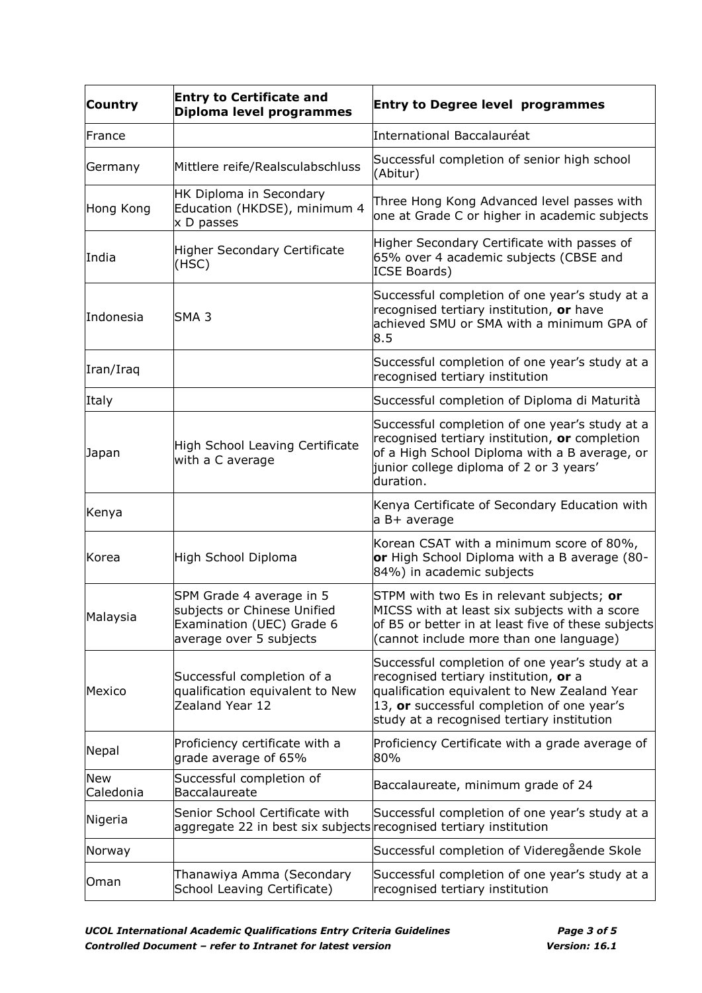| Country                 | <b>Entry to Certificate and</b><br>Diploma level programmes                                                     | <b>Entry to Degree level programmes</b>                                                                                                                                                                                             |
|-------------------------|-----------------------------------------------------------------------------------------------------------------|-------------------------------------------------------------------------------------------------------------------------------------------------------------------------------------------------------------------------------------|
| France                  |                                                                                                                 | International Baccalauréat                                                                                                                                                                                                          |
| Germany                 | Mittlere reife/Realsculabschluss                                                                                | Successful completion of senior high school<br>(Abitur)                                                                                                                                                                             |
| Hong Kong               | HK Diploma in Secondary<br>Education (HKDSE), minimum 4<br>x D passes                                           | Three Hong Kong Advanced level passes with<br>one at Grade C or higher in academic subjects                                                                                                                                         |
| India                   | <b>Higher Secondary Certificate</b><br>(HSC)                                                                    | Higher Secondary Certificate with passes of<br>65% over 4 academic subjects (CBSE and<br><b>ICSE Boards)</b>                                                                                                                        |
| Indonesia               | SMA <sub>3</sub>                                                                                                | Successful completion of one year's study at a<br>recognised tertiary institution, or have<br>achieved SMU or SMA with a minimum GPA of<br>8.5                                                                                      |
| Iran/Iraq               |                                                                                                                 | Successful completion of one year's study at a<br>recognised tertiary institution                                                                                                                                                   |
| Italy                   |                                                                                                                 | Successful completion of Diploma di Maturità                                                                                                                                                                                        |
| Japan                   | High School Leaving Certificate<br>with a C average                                                             | Successful completion of one year's study at a<br>recognised tertiary institution, or completion<br>of a High School Diploma with a B average, or<br>junior college diploma of 2 or 3 years'<br>duration.                           |
| Kenya                   |                                                                                                                 | Kenya Certificate of Secondary Education with<br>a B+ average                                                                                                                                                                       |
| Korea                   | High School Diploma                                                                                             | Korean CSAT with a minimum score of 80%,<br>or High School Diploma with a B average (80-<br>84%) in academic subjects                                                                                                               |
| Malaysia                | SPM Grade 4 average in 5<br>subjects or Chinese Unified<br>Examination (UEC) Grade 6<br>average over 5 subjects | STPM with two Es in relevant subjects; or<br>MICSS with at least six subjects with a score<br>of B5 or better in at least five of these subjects<br>(cannot include more than one language)                                         |
| Mexico                  | Successful completion of a<br>qualification equivalent to New<br>Zealand Year 12                                | Successful completion of one year's study at a<br>recognised tertiary institution, or a<br>qualification equivalent to New Zealand Year<br>13, or successful completion of one year's<br>study at a recognised tertiary institution |
| Nepal                   | Proficiency certificate with a<br>grade average of 65%                                                          | Proficiency Certificate with a grade average of<br>80%                                                                                                                                                                              |
| <b>New</b><br>Caledonia | Successful completion of<br>Baccalaureate                                                                       | Baccalaureate, minimum grade of 24                                                                                                                                                                                                  |
| Nigeria                 | Senior School Certificate with<br>aggregate 22 in best six subjects recognised tertiary institution             | Successful completion of one year's study at a                                                                                                                                                                                      |
| Norway                  |                                                                                                                 | Successful completion of Videregående Skole                                                                                                                                                                                         |
| Oman                    | Thanawiya Amma (Secondary<br>School Leaving Certificate)                                                        | Successful completion of one year's study at a<br>recognised tertiary institution                                                                                                                                                   |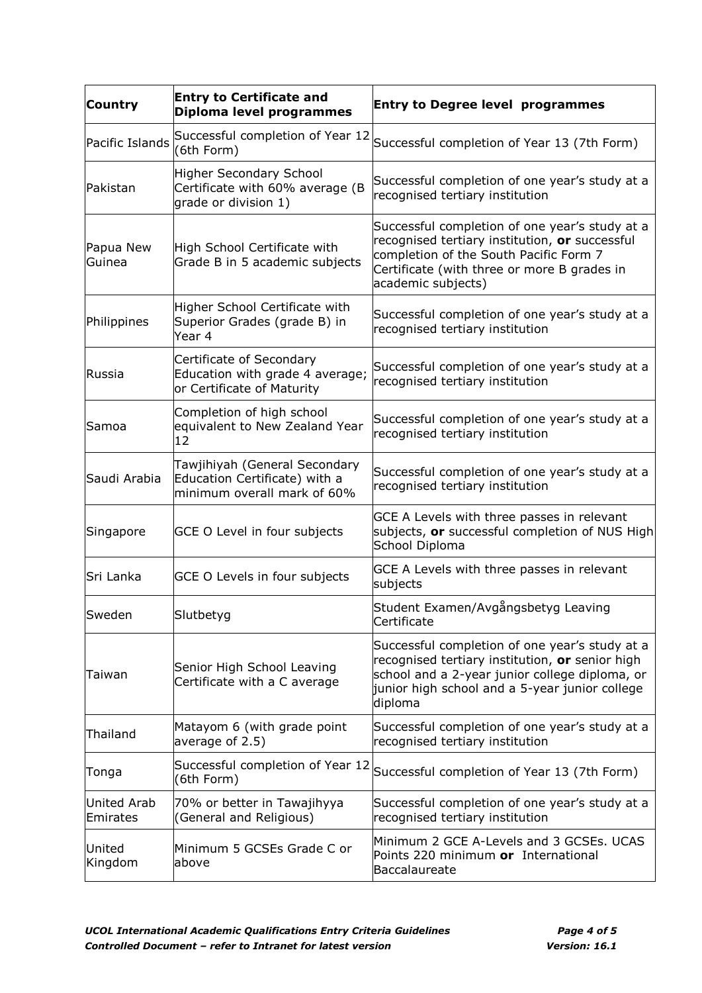| <b>Country</b>          | <b>Entry to Certificate and</b><br>Diploma level programmes                                   | <b>Entry to Degree level programmes</b>                                                                                                                                                                          |
|-------------------------|-----------------------------------------------------------------------------------------------|------------------------------------------------------------------------------------------------------------------------------------------------------------------------------------------------------------------|
| Pacific Islands         | Successful completion of Year 12<br>(6th Form)                                                | Successful completion of Year 13 (7th Form)                                                                                                                                                                      |
| Pakistan                | Higher Secondary School<br>Certificate with 60% average (B<br>grade or division 1)            | Successful completion of one year's study at a<br>recognised tertiary institution                                                                                                                                |
| Papua New<br>Guinea     | High School Certificate with<br>Grade B in 5 academic subjects                                | Successful completion of one year's study at a<br>recognised tertiary institution, or successful<br>completion of the South Pacific Form 7<br>Certificate (with three or more B grades in<br>academic subjects)  |
| Philippines             | Higher School Certificate with<br>Superior Grades (grade B) in<br>Year 4                      | Successful completion of one year's study at a<br>recognised tertiary institution                                                                                                                                |
| Russia                  | Certificate of Secondary<br>Education with grade 4 average;<br>or Certificate of Maturity     | Successful completion of one year's study at a<br>recognised tertiary institution                                                                                                                                |
| Samoa                   | Completion of high school<br>equivalent to New Zealand Year<br>12                             | Successful completion of one year's study at a<br>recognised tertiary institution                                                                                                                                |
| Saudi Arabia            | Tawjihiyah (General Secondary<br>Education Certificate) with a<br>minimum overall mark of 60% | Successful completion of one year's study at a<br>recognised tertiary institution                                                                                                                                |
| Singapore               | GCE O Level in four subjects                                                                  | GCE A Levels with three passes in relevant<br>subjects, or successful completion of NUS High<br>School Diploma                                                                                                   |
| Sri Lanka               | GCE O Levels in four subjects                                                                 | GCE A Levels with three passes in relevant<br>subjects                                                                                                                                                           |
| Sweden                  | Slutbetyg                                                                                     | Student Examen/Avgångsbetyg Leaving<br>Certificate                                                                                                                                                               |
| Taiwan                  | Senior High School Leaving<br>Certificate with a C average                                    | Successful completion of one year's study at a<br>recognised tertiary institution, or senior high<br>school and a 2-year junior college diploma, or<br>junior high school and a 5-year junior college<br>diploma |
| Thailand                | Matayom 6 (with grade point<br>average of 2.5)                                                | Successful completion of one year's study at a<br>recognised tertiary institution                                                                                                                                |
| Tonga                   | Successful completion of Year 12<br>(6th Form)                                                | Successful completion of Year 13 (7th Form)                                                                                                                                                                      |
| United Arab<br>Emirates | 70% or better in Tawajihyya<br>(General and Religious)                                        | Successful completion of one year's study at a<br>recognised tertiary institution                                                                                                                                |
| United<br>Kingdom       | Minimum 5 GCSEs Grade C or<br>above                                                           | Minimum 2 GCE A-Levels and 3 GCSEs. UCAS<br>Points 220 minimum or International<br>Baccalaureate                                                                                                                 |